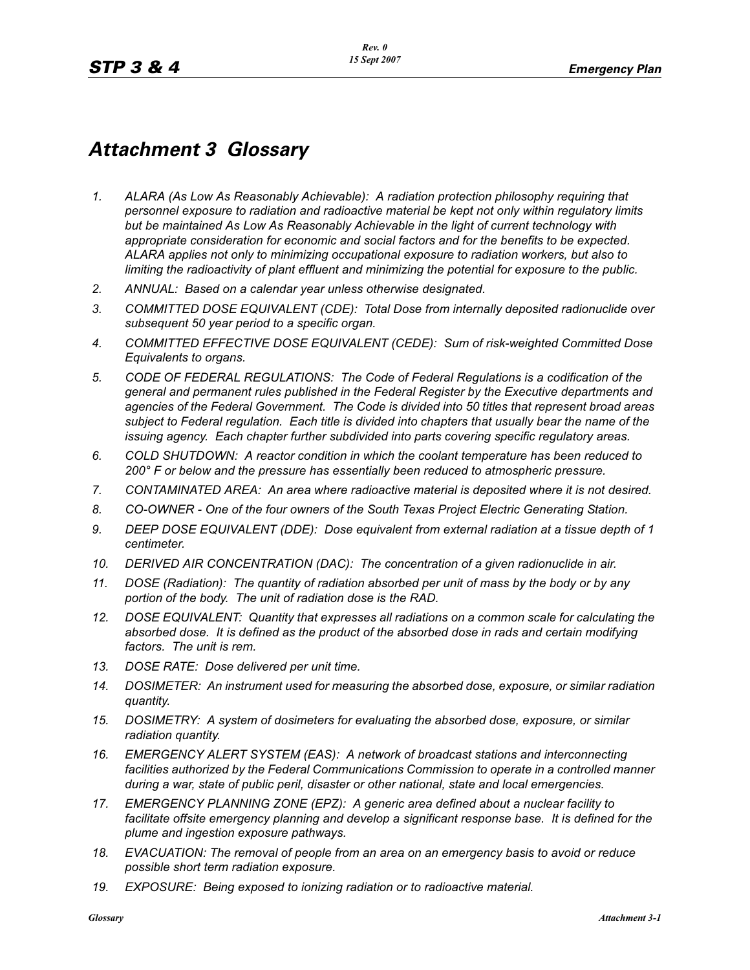## *Attachment 3 Glossary*

- *1. ALARA (As Low As Reasonably Achievable): A radiation protection philosophy requiring that personnel exposure to radiation and radioactive material be kept not only within regulatory limits but be maintained As Low As Reasonably Achievable in the light of current technology with appropriate consideration for economic and social factors and for the benefits to be expected. ALARA applies not only to minimizing occupational exposure to radiation workers, but also to limiting the radioactivity of plant effluent and minimizing the potential for exposure to the public.*
- *2. ANNUAL: Based on a calendar year unless otherwise designated.*
- *3. COMMITTED DOSE EQUIVALENT (CDE): Total Dose from internally deposited radionuclide over subsequent 50 year period to a specific organ.*
- *4. COMMITTED EFFECTIVE DOSE EQUIVALENT (CEDE): Sum of risk-weighted Committed Dose Equivalents to organs.*
- *5. CODE OF FEDERAL REGULATIONS: The Code of Federal Regulations is a codification of the general and permanent rules published in the Federal Register by the Executive departments and agencies of the Federal Government. The Code is divided into 50 titles that represent broad areas subject to Federal regulation. Each title is divided into chapters that usually bear the name of the issuing agency. Each chapter further subdivided into parts covering specific regulatory areas.*
- *6. COLD SHUTDOWN: A reactor condition in which the coolant temperature has been reduced to 200° F or below and the pressure has essentially been reduced to atmospheric pressure.*
- *7. CONTAMINATED AREA: An area where radioactive material is deposited where it is not desired.*
- *8. CO-OWNER One of the four owners of the South Texas Project Electric Generating Station.*
- *9. DEEP DOSE EQUIVALENT (DDE): Dose equivalent from external radiation at a tissue depth of 1 centimeter.*
- *10. DERIVED AIR CONCENTRATION (DAC): The concentration of a given radionuclide in air.*
- *11. DOSE (Radiation): The quantity of radiation absorbed per unit of mass by the body or by any portion of the body. The unit of radiation dose is the RAD.*
- *12. DOSE EQUIVALENT: Quantity that expresses all radiations on a common scale for calculating the absorbed dose. It is defined as the product of the absorbed dose in rads and certain modifying factors. The unit is rem.*
- *13. DOSE RATE: Dose delivered per unit time.*
- *14. DOSIMETER: An instrument used for measuring the absorbed dose, exposure, or similar radiation quantity.*
- *15. DOSIMETRY: A system of dosimeters for evaluating the absorbed dose, exposure, or similar radiation quantity.*
- *16. EMERGENCY ALERT SYSTEM (EAS): A network of broadcast stations and interconnecting*  facilities authorized by the Federal Communications Commission to operate in a controlled manner *during a war, state of public peril, disaster or other national, state and local emergencies.*
- *17. EMERGENCY PLANNING ZONE (EPZ): A generic area defined about a nuclear facility to*  facilitate offsite emergency planning and develop a significant response base. It is defined for the *plume and ingestion exposure pathways.*
- *18. EVACUATION: The removal of people from an area on an emergency basis to avoid or reduce possible short term radiation exposure.*
- *19. EXPOSURE: Being exposed to ionizing radiation or to radioactive material.*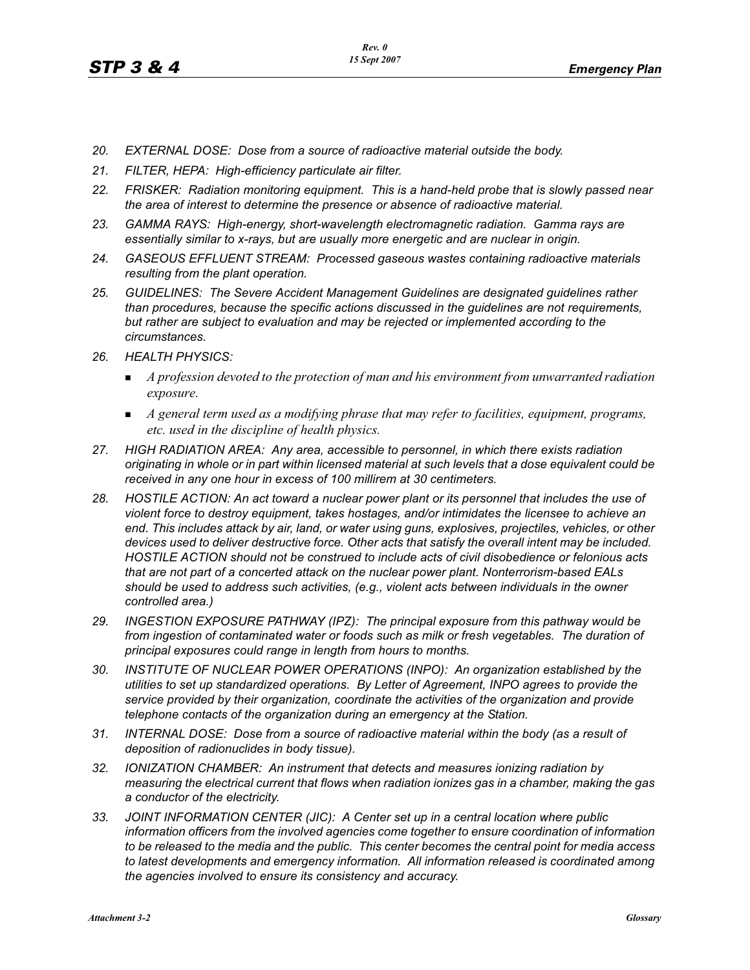- *20. EXTERNAL DOSE: Dose from a source of radioactive material outside the body.*
- *21. FILTER, HEPA: High-efficiency particulate air filter.*
- 22. FRISKER: Radiation monitoring equipment. This is a hand-held probe that is slowly passed near *the area of interest to determine the presence or absence of radioactive material.*
- *23. GAMMA RAYS: High-energy, short-wavelength electromagnetic radiation. Gamma rays are essentially similar to x-rays, but are usually more energetic and are nuclear in origin.*
- *24. GASEOUS EFFLUENT STREAM: Processed gaseous wastes containing radioactive materials resulting from the plant operation.*
- *25. GUIDELINES: The Severe Accident Management Guidelines are designated guidelines rather than procedures, because the specific actions discussed in the guidelines are not requirements, but rather are subject to evaluation and may be rejected or implemented according to the circumstances.*
- *26. HEALTH PHYSICS:*
	- **The** *A profession devoted to the protection of man and his environment from unwarranted radiation exposure.*
	- *A general term used as a modifying phrase that may refer to facilities, equipment, programs, etc. used in the discipline of health physics.*
- *27. HIGH RADIATION AREA: Any area, accessible to personnel, in which there exists radiation originating in whole or in part within licensed material at such levels that a dose equivalent could be received in any one hour in excess of 100 millirem at 30 centimeters.*
- *28. HOSTILE ACTION: An act toward a nuclear power plant or its personnel that includes the use of violent force to destroy equipment, takes hostages, and/or intimidates the licensee to achieve an end. This includes attack by air, land, or water using guns, explosives, projectiles, vehicles, or other devices used to deliver destructive force. Other acts that satisfy the overall intent may be included. HOSTILE ACTION should not be construed to include acts of civil disobedience or felonious acts that are not part of a concerted attack on the nuclear power plant. Nonterrorism-based EALs should be used to address such activities, (e.g., violent acts between individuals in the owner controlled area.)*
- *29. INGESTION EXPOSURE PATHWAY (IPZ): The principal exposure from this pathway would be*  from ingestion of contaminated water or foods such as milk or fresh vegetables. The duration of *principal exposures could range in length from hours to months.*
- *30. INSTITUTE OF NUCLEAR POWER OPERATIONS (INPO): An organization established by the utilities to set up standardized operations. By Letter of Agreement, INPO agrees to provide the service provided by their organization, coordinate the activities of the organization and provide telephone contacts of the organization during an emergency at the Station.*
- *31. INTERNAL DOSE: Dose from a source of radioactive material within the body (as a result of deposition of radionuclides in body tissue).*
- *32. IONIZATION CHAMBER: An instrument that detects and measures ionizing radiation by measuring the electrical current that flows when radiation ionizes gas in a chamber, making the gas a conductor of the electricity.*
- *33. JOINT INFORMATION CENTER (JIC): A Center set up in a central location where public information officers from the involved agencies come together to ensure coordination of information to be released to the media and the public. This center becomes the central point for media access to latest developments and emergency information. All information released is coordinated among the agencies involved to ensure its consistency and accuracy.*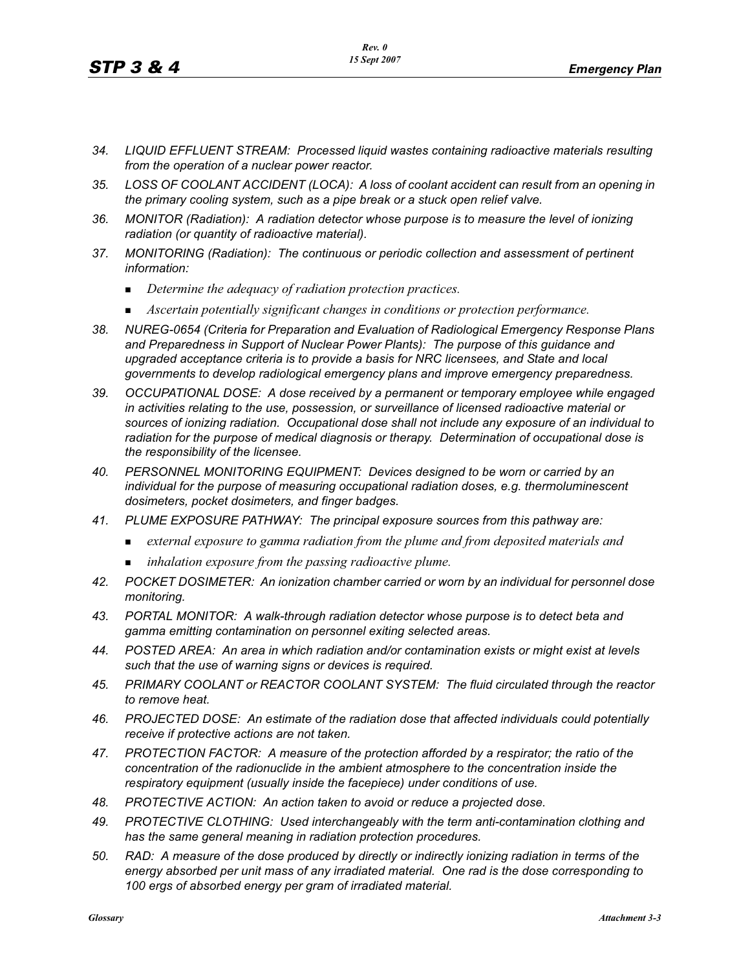- *34. LIQUID EFFLUENT STREAM: Processed liquid wastes containing radioactive materials resulting from the operation of a nuclear power reactor.*
- *35. LOSS OF COOLANT ACCIDENT (LOCA): A loss of coolant accident can result from an opening in the primary cooling system, such as a pipe break or a stuck open relief valve.*
- *36. MONITOR (Radiation): A radiation detector whose purpose is to measure the level of ionizing radiation (or quantity of radioactive material).*
- *37. MONITORING (Radiation): The continuous or periodic collection and assessment of pertinent information:*
	- -*Determine the adequacy of radiation protection practices.*
	- -*Ascertain potentially significant changes in conditions or protection performance.*
- *38. NUREG-0654 (Criteria for Preparation and Evaluation of Radiological Emergency Response Plans and Preparedness in Support of Nuclear Power Plants): The purpose of this guidance and upgraded acceptance criteria is to provide a basis for NRC licensees, and State and local governments to develop radiological emergency plans and improve emergency preparedness.*
- *39. OCCUPATIONAL DOSE: A dose received by a permanent or temporary employee while engaged in activities relating to the use, possession, or surveillance of licensed radioactive material or sources of ionizing radiation. Occupational dose shall not include any exposure of an individual to radiation for the purpose of medical diagnosis or therapy. Determination of occupational dose is the responsibility of the licensee.*
- *40. PERSONNEL MONITORING EQUIPMENT: Devices designed to be worn or carried by an individual for the purpose of measuring occupational radiation doses, e.g. thermoluminescent dosimeters, pocket dosimeters, and finger badges.*
- *41. PLUME EXPOSURE PATHWAY: The principal exposure sources from this pathway are:*
	- *external exposure to gamma radiation from the plume and from deposited materials and*
	- *inhalation exposure from the passing radioactive plume.*
- *42. POCKET DOSIMETER: An ionization chamber carried or worn by an individual for personnel dose monitoring.*
- *43. PORTAL MONITOR: A walk-through radiation detector whose purpose is to detect beta and gamma emitting contamination on personnel exiting selected areas.*
- *44. POSTED AREA: An area in which radiation and/or contamination exists or might exist at levels such that the use of warning signs or devices is required.*
- *45. PRIMARY COOLANT or REACTOR COOLANT SYSTEM: The fluid circulated through the reactor to remove heat.*
- *46. PROJECTED DOSE: An estimate of the radiation dose that affected individuals could potentially receive if protective actions are not taken.*
- *47. PROTECTION FACTOR: A measure of the protection afforded by a respirator; the ratio of the concentration of the radionuclide in the ambient atmosphere to the concentration inside the respiratory equipment (usually inside the facepiece) under conditions of use.*
- *48. PROTECTIVE ACTION: An action taken to avoid or reduce a projected dose.*
- *49. PROTECTIVE CLOTHING: Used interchangeably with the term anti-contamination clothing and has the same general meaning in radiation protection procedures.*
- *50. RAD: A measure of the dose produced by directly or indirectly ionizing radiation in terms of the energy absorbed per unit mass of any irradiated material. One rad is the dose corresponding to 100 ergs of absorbed energy per gram of irradiated material.*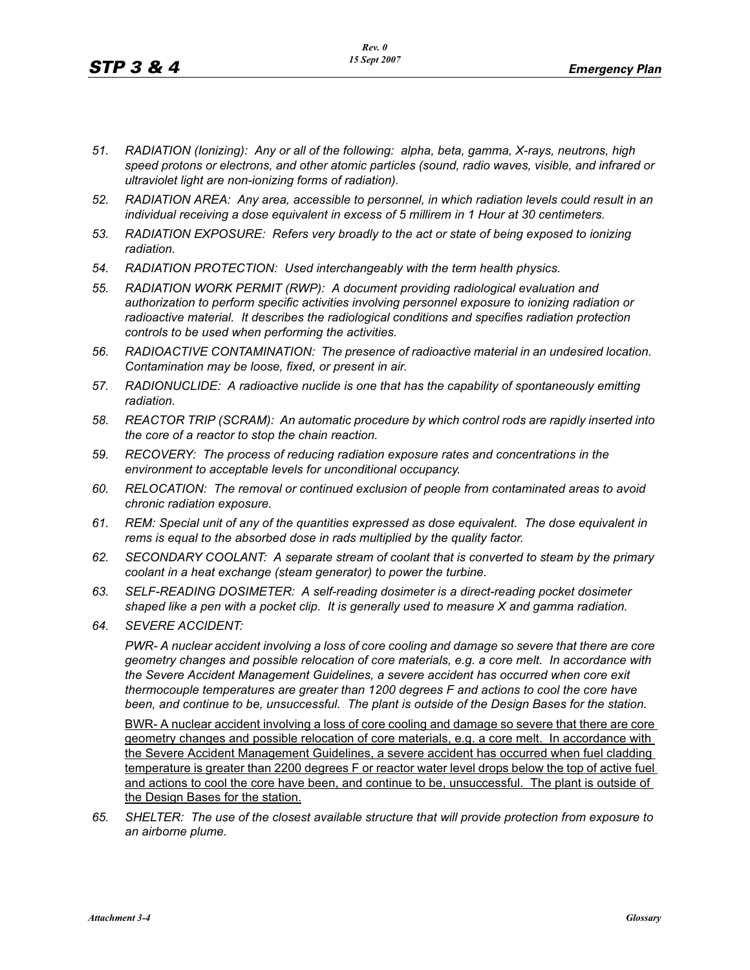- *51. RADIATION (Ionizing): Any or all of the following: alpha, beta, gamma, X-rays, neutrons, high speed protons or electrons, and other atomic particles (sound, radio waves, visible, and infrared or ultraviolet light are non-ionizing forms of radiation).*
- *52. RADIATION AREA: Any area, accessible to personnel, in which radiation levels could result in an individual receiving a dose equivalent in excess of 5 millirem in 1 Hour at 30 centimeters.*
- *53. RADIATION EXPOSURE: Refers very broadly to the act or state of being exposed to ionizing radiation.*
- *54. RADIATION PROTECTION: Used interchangeably with the term health physics.*
- *55. RADIATION WORK PERMIT (RWP): A document providing radiological evaluation and authorization to perform specific activities involving personnel exposure to ionizing radiation or radioactive material. It describes the radiological conditions and specifies radiation protection controls to be used when performing the activities.*
- *56. RADIOACTIVE CONTAMINATION: The presence of radioactive material in an undesired location. Contamination may be loose, fixed, or present in air.*
- *57. RADIONUCLIDE: A radioactive nuclide is one that has the capability of spontaneously emitting radiation.*
- *58. REACTOR TRIP (SCRAM): An automatic procedure by which control rods are rapidly inserted into the core of a reactor to stop the chain reaction.*
- *59. RECOVERY: The process of reducing radiation exposure rates and concentrations in the environment to acceptable levels for unconditional occupancy.*
- *60. RELOCATION: The removal or continued exclusion of people from contaminated areas to avoid chronic radiation exposure.*
- *61. REM: Special unit of any of the quantities expressed as dose equivalent. The dose equivalent in rems is equal to the absorbed dose in rads multiplied by the quality factor.*
- *62. SECONDARY COOLANT: A separate stream of coolant that is converted to steam by the primary coolant in a heat exchange (steam generator) to power the turbine.*
- *63. SELF-READING DOSIMETER: A self-reading dosimeter is a direct-reading pocket dosimeter shaped like a pen with a pocket clip. It is generally used to measure X and gamma radiation.*
- *64. SEVERE ACCIDENT:*

*PWR- A nuclear accident involving a loss of core cooling and damage so severe that there are core geometry changes and possible relocation of core materials, e.g. a core melt. In accordance with the Severe Accident Management Guidelines, a severe accident has occurred when core exit thermocouple temperatures are greater than 1200 degrees F and actions to cool the core have been, and continue to be, unsuccessful. The plant is outside of the Design Bases for the station.*

BWR- A nuclear accident involving a loss of core cooling and damage so severe that there are core geometry changes and possible relocation of core materials, e.g. a core melt. In accordance with the Severe Accident Management Guidelines, a severe accident has occurred when fuel cladding temperature is greater than 2200 degrees F or reactor water level drops below the top of active fuel and actions to cool the core have been, and continue to be, unsuccessful. The plant is outside of the Design Bases for the station.

*65. SHELTER: The use of the closest available structure that will provide protection from exposure to an airborne plume.*